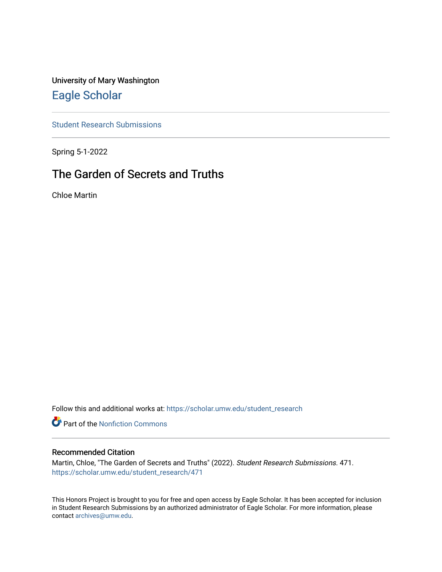University of Mary Washington [Eagle Scholar](https://scholar.umw.edu/) 

[Student Research Submissions](https://scholar.umw.edu/student_research) 

Spring 5-1-2022

# The Garden of Secrets and Truths

Chloe Martin

Follow this and additional works at: [https://scholar.umw.edu/student\\_research](https://scholar.umw.edu/student_research?utm_source=scholar.umw.edu%2Fstudent_research%2F471&utm_medium=PDF&utm_campaign=PDFCoverPages)

**Part of the Nonfiction Commons** 

## Recommended Citation

Martin, Chloe, "The Garden of Secrets and Truths" (2022). Student Research Submissions. 471. [https://scholar.umw.edu/student\\_research/471](https://scholar.umw.edu/student_research/471?utm_source=scholar.umw.edu%2Fstudent_research%2F471&utm_medium=PDF&utm_campaign=PDFCoverPages)

This Honors Project is brought to you for free and open access by Eagle Scholar. It has been accepted for inclusion in Student Research Submissions by an authorized administrator of Eagle Scholar. For more information, please contact [archives@umw.edu](mailto:archives@umw.edu).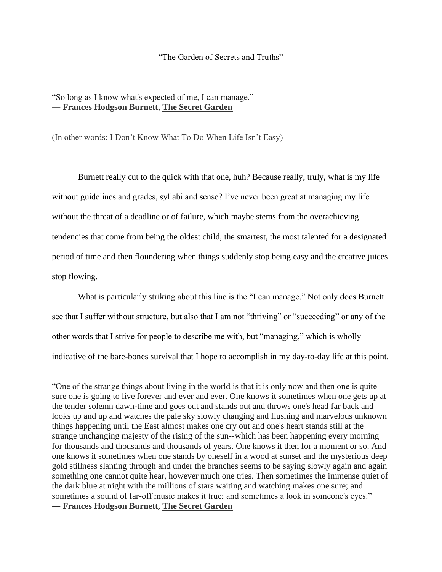#### "The Garden of Secrets and Truths"

## "So long as I know what's expected of me, I can manage." ― **Frances Hodgson Burnett, The Secret Garden**

(In other words: I Don't Know What To Do When Life Isn't Easy)

Burnett really cut to the quick with that one, huh? Because really, truly, what is my life without guidelines and grades, syllabi and sense? I've never been great at managing my life without the threat of a deadline or of failure, which maybe stems from the overachieving tendencies that come from being the oldest child, the smartest, the most talented for a designated period of time and then floundering when things suddenly stop being easy and the creative juices stop flowing.

What is particularly striking about this line is the "I can manage." Not only does Burnett see that I suffer without structure, but also that I am not "thriving" or "succeeding" or any of the other words that I strive for people to describe me with, but "managing," which is wholly indicative of the bare-bones survival that I hope to accomplish in my day-to-day life at this point.

"One of the strange things about living in the world is that it is only now and then one is quite sure one is going to live forever and ever and ever. One knows it sometimes when one gets up at the tender solemn dawn-time and goes out and stands out and throws one's head far back and looks up and up and watches the pale sky slowly changing and flushing and marvelous unknown things happening until the East almost makes one cry out and one's heart stands still at the strange unchanging majesty of the rising of the sun--which has been happening every morning for thousands and thousands and thousands of years. One knows it then for a moment or so. And one knows it sometimes when one stands by oneself in a wood at sunset and the mysterious deep gold stillness slanting through and under the branches seems to be saying slowly again and again something one cannot quite hear, however much one tries. Then sometimes the immense quiet of the dark blue at night with the millions of stars waiting and watching makes one sure; and sometimes a sound of far-off music makes it true; and sometimes a look in someone's eyes." ― **Frances Hodgson Burnett, The Secret Garden**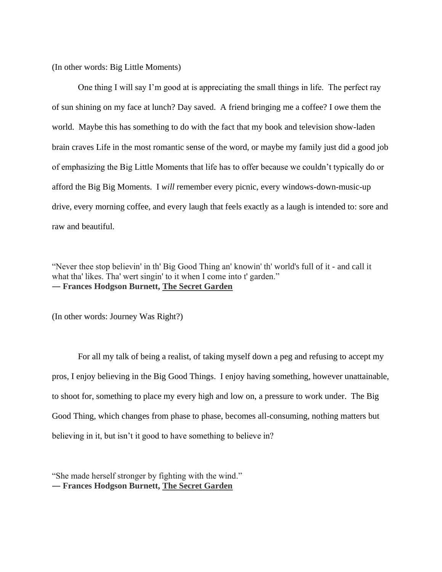(In other words: Big Little Moments)

One thing I will say I'm good at is appreciating the small things in life. The perfect ray of sun shining on my face at lunch? Day saved. A friend bringing me a coffee? I owe them the world. Maybe this has something to do with the fact that my book and television show-laden brain craves Life in the most romantic sense of the word, or maybe my family just did a good job of emphasizing the Big Little Moments that life has to offer because we couldn't typically do or afford the Big Big Moments. I *will* remember every picnic, every windows-down-music-up drive, every morning coffee, and every laugh that feels exactly as a laugh is intended to: sore and raw and beautiful.

"Never thee stop believin' in th' Big Good Thing an' knowin' th' world's full of it - and call it what tha' likes. Tha' wert singin' to it when I come into t' garden." ― **Frances Hodgson Burnett, [The Secret Garden](https://www.goodreads.com/work/quotes/3186437)**

(In other words: Journey Was Right?)

For all my talk of being a realist, of taking myself down a peg and refusing to accept my pros, I enjoy believing in the Big Good Things. I enjoy having something, however unattainable, to shoot for, something to place my every high and low on, a pressure to work under. The Big Good Thing, which changes from phase to phase, becomes all-consuming, nothing matters but believing in it, but isn't it good to have something to believe in?

"She made herself stronger by fighting with the wind." ― **Frances Hodgson Burnett, The Secret Garden**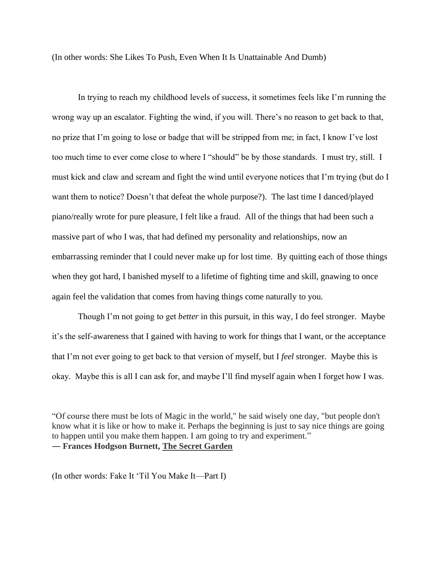(In other words: She Likes To Push, Even When It Is Unattainable And Dumb)

In trying to reach my childhood levels of success, it sometimes feels like I'm running the wrong way up an escalator. Fighting the wind, if you will. There's no reason to get back to that, no prize that I'm going to lose or badge that will be stripped from me; in fact, I know I've lost too much time to ever come close to where I "should" be by those standards. I must try, still. I must kick and claw and scream and fight the wind until everyone notices that I'm trying (but do I want them to notice? Doesn't that defeat the whole purpose?). The last time I danced/played piano/really wrote for pure pleasure, I felt like a fraud. All of the things that had been such a massive part of who I was, that had defined my personality and relationships, now an embarrassing reminder that I could never make up for lost time. By quitting each of those things when they got hard, I banished myself to a lifetime of fighting time and skill, gnawing to once again feel the validation that comes from having things come naturally to you.

Though I'm not going to get *better* in this pursuit, in this way, I do feel stronger. Maybe it's the self-awareness that I gained with having to work for things that I want, or the acceptance that I'm not ever going to get back to that version of myself, but I *feel* stronger. Maybe this is okay. Maybe this is all I can ask for, and maybe I'll find myself again when I forget how I was.

"Of course there must be lots of Magic in the world," he said wisely one day, "but people don't know what it is like or how to make it. Perhaps the beginning is just to say nice things are going to happen until you make them happen. I am going to try and experiment." ― **Frances Hodgson Burnett, The Secret Garden**

(In other words: Fake It 'Til You Make It—Part I)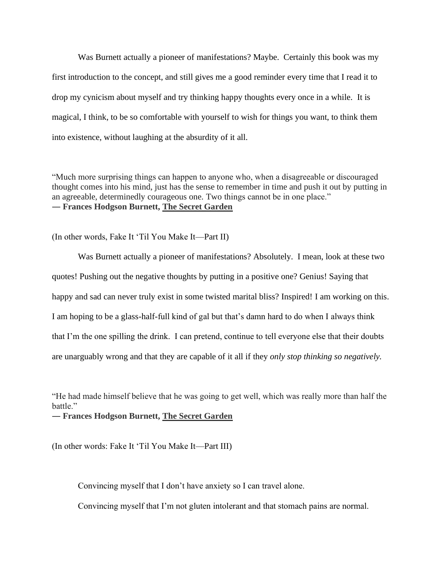Was Burnett actually a pioneer of manifestations? Maybe. Certainly this book was my first introduction to the concept, and still gives me a good reminder every time that I read it to drop my cynicism about myself and try thinking happy thoughts every once in a while. It is magical, I think, to be so comfortable with yourself to wish for things you want, to think them into existence, without laughing at the absurdity of it all.

"Much more surprising things can happen to anyone who, when a disagreeable or discouraged thought comes into his mind, just has the sense to remember in time and push it out by putting in an agreeable, determinedly courageous one. Two things cannot be in one place." ― **Frances Hodgson Burnett, The Secret Garden**

(In other words, Fake It 'Til You Make It—Part II)

Was Burnett actually a pioneer of manifestations? Absolutely. I mean, look at these two quotes! Pushing out the negative thoughts by putting in a positive one? Genius! Saying that happy and sad can never truly exist in some twisted marital bliss? Inspired! I am working on this. I am hoping to be a glass-half-full kind of gal but that's damn hard to do when I always think that I'm the one spilling the drink. I can pretend, continue to tell everyone else that their doubts are unarguably wrong and that they are capable of it all if they *only stop thinking so negatively.*

"He had made himself believe that he was going to get well, which was really more than half the battle."

― **Frances Hodgson Burnett, [The Secret Garden](https://www.goodreads.com/work/quotes/3186437)**

(In other words: Fake It 'Til You Make It—Part III)

Convincing myself that I don't have anxiety so I can travel alone.

Convincing myself that I'm not gluten intolerant and that stomach pains are normal.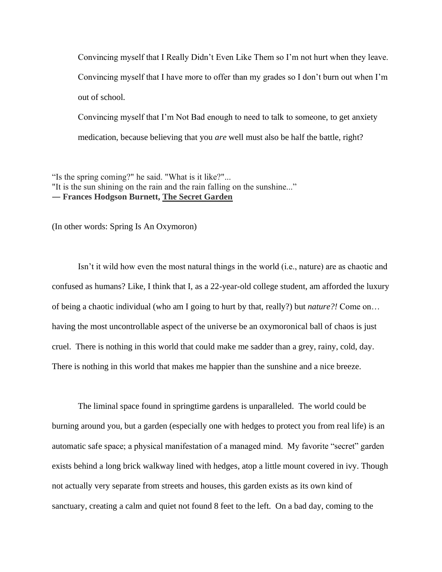Convincing myself that I Really Didn't Even Like Them so I'm not hurt when they leave. Convincing myself that I have more to offer than my grades so I don't burn out when I'm out of school.

Convincing myself that I'm Not Bad enough to need to talk to someone, to get anxiety medication, because believing that you *are* well must also be half the battle, right?

"Is the spring coming?" he said. "What is it like?"... "It is the sun shining on the rain and the rain falling on the sunshine..." ― **Frances Hodgson Burnett, The Secret Garden**

(In other words: Spring Is An Oxymoron)

Isn't it wild how even the most natural things in the world (i.e., nature) are as chaotic and confused as humans? Like, I think that I, as a 22-year-old college student, am afforded the luxury of being a chaotic individual (who am I going to hurt by that, really?) but *nature?!* Come on… having the most uncontrollable aspect of the universe be an oxymoronical ball of chaos is just cruel. There is nothing in this world that could make me sadder than a grey, rainy, cold, day. There is nothing in this world that makes me happier than the sunshine and a nice breeze.

The liminal space found in springtime gardens is unparalleled. The world could be burning around you, but a garden (especially one with hedges to protect you from real life) is an automatic safe space; a physical manifestation of a managed mind. My favorite "secret" garden exists behind a long brick walkway lined with hedges, atop a little mount covered in ivy. Though not actually very separate from streets and houses, this garden exists as its own kind of sanctuary, creating a calm and quiet not found 8 feet to the left. On a bad day, coming to the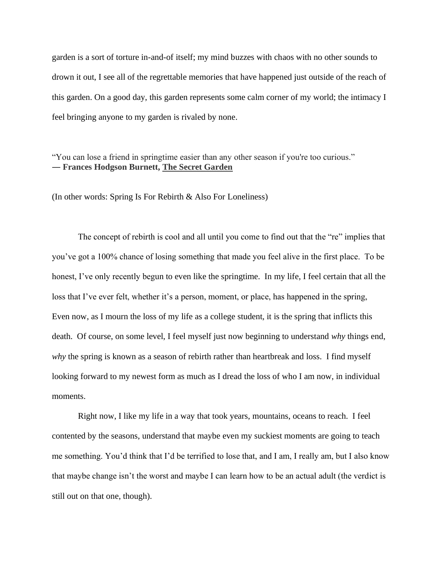garden is a sort of torture in-and-of itself; my mind buzzes with chaos with no other sounds to drown it out, I see all of the regrettable memories that have happened just outside of the reach of this garden. On a good day, this garden represents some calm corner of my world; the intimacy I feel bringing anyone to my garden is rivaled by none.

"You can lose a friend in springtime easier than any other season if you're too curious." ― **Frances Hodgson Burnett, [The Secret Garden](https://www.goodreads.com/work/quotes/3186437)**

(In other words: Spring Is For Rebirth & Also For Loneliness)

The concept of rebirth is cool and all until you come to find out that the "re" implies that you've got a 100% chance of losing something that made you feel alive in the first place. To be honest, I've only recently begun to even like the springtime. In my life, I feel certain that all the loss that I've ever felt, whether it's a person, moment, or place, has happened in the spring, Even now, as I mourn the loss of my life as a college student, it is the spring that inflicts this death. Of course, on some level, I feel myself just now beginning to understand *why* things end, *why* the spring is known as a season of rebirth rather than heartbreak and loss. I find myself looking forward to my newest form as much as I dread the loss of who I am now, in individual moments.

Right now, I like my life in a way that took years, mountains, oceans to reach. I feel contented by the seasons, understand that maybe even my suckiest moments are going to teach me something. You'd think that I'd be terrified to lose that, and I am, I really am, but I also know that maybe change isn't the worst and maybe I can learn how to be an actual adult (the verdict is still out on that one, though).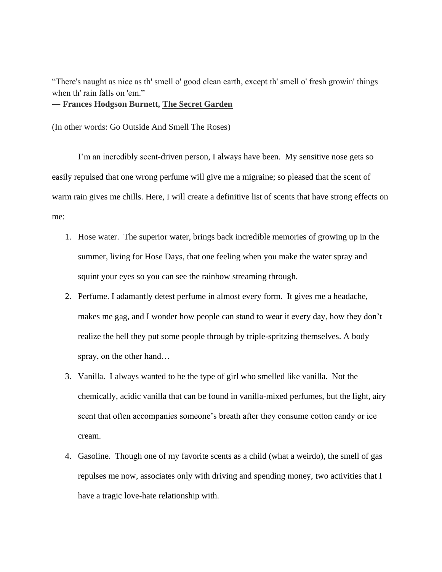"There's naught as nice as th' smell o' good clean earth, except th' smell o' fresh growin' things when th' rain falls on 'em."

# ― **Frances Hodgson Burnett, [The Secret Garden](https://www.goodreads.com/work/quotes/3186437)**

(In other words: Go Outside And Smell The Roses)

I'm an incredibly scent-driven person, I always have been. My sensitive nose gets so easily repulsed that one wrong perfume will give me a migraine; so pleased that the scent of warm rain gives me chills. Here, I will create a definitive list of scents that have strong effects on me:

- 1. Hose water. The superior water, brings back incredible memories of growing up in the summer, living for Hose Days, that one feeling when you make the water spray and squint your eyes so you can see the rainbow streaming through.
- 2. Perfume. I adamantly detest perfume in almost every form. It gives me a headache, makes me gag, and I wonder how people can stand to wear it every day, how they don't realize the hell they put some people through by triple-spritzing themselves. A body spray, on the other hand…
- 3. Vanilla. I always wanted to be the type of girl who smelled like vanilla. Not the chemically, acidic vanilla that can be found in vanilla-mixed perfumes, but the light, airy scent that often accompanies someone's breath after they consume cotton candy or ice cream.
- 4. Gasoline. Though one of my favorite scents as a child (what a weirdo), the smell of gas repulses me now, associates only with driving and spending money, two activities that I have a tragic love-hate relationship with.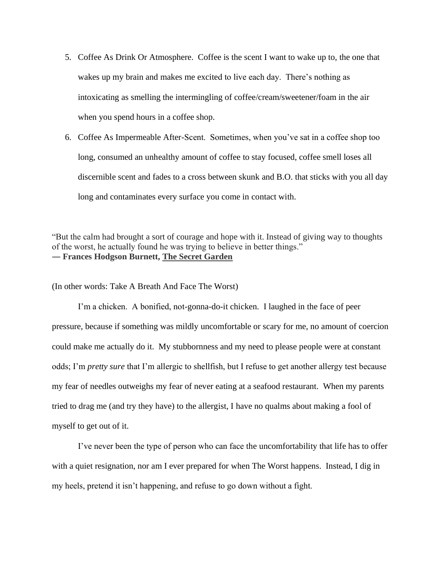- 5. Coffee As Drink Or Atmosphere. Coffee is the scent I want to wake up to, the one that wakes up my brain and makes me excited to live each day. There's nothing as intoxicating as smelling the intermingling of coffee/cream/sweetener/foam in the air when you spend hours in a coffee shop.
- 6. Coffee As Impermeable After-Scent. Sometimes, when you've sat in a coffee shop too long, consumed an unhealthy amount of coffee to stay focused, coffee smell loses all discernible scent and fades to a cross between skunk and B.O. that sticks with you all day long and contaminates every surface you come in contact with.

"But the calm had brought a sort of courage and hope with it. Instead of giving way to thoughts of the worst, he actually found he was trying to believe in better things." ― **Frances Hodgson Burnett, [The Secret Garden](https://www.goodreads.com/work/quotes/3186437)**

(In other words: Take A Breath And Face The Worst)

I'm a chicken. A bonified, not-gonna-do-it chicken. I laughed in the face of peer pressure, because if something was mildly uncomfortable or scary for me, no amount of coercion could make me actually do it. My stubbornness and my need to please people were at constant odds; I'm *pretty sure* that I'm allergic to shellfish, but I refuse to get another allergy test because my fear of needles outweighs my fear of never eating at a seafood restaurant. When my parents tried to drag me (and try they have) to the allergist, I have no qualms about making a fool of myself to get out of it.

I've never been the type of person who can face the uncomfortability that life has to offer with a quiet resignation, nor am I ever prepared for when The Worst happens. Instead, I dig in my heels, pretend it isn't happening, and refuse to go down without a fight.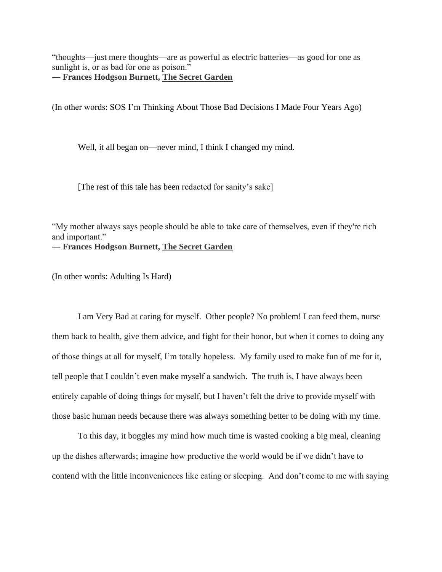"thoughts—just mere thoughts—are as powerful as electric batteries—as good for one as sunlight is, or as bad for one as poison."

― **Frances Hodgson Burnett, [The Secret Garden](https://www.goodreads.com/work/quotes/3186437)**

(In other words: SOS I'm Thinking About Those Bad Decisions I Made Four Years Ago)

Well, it all began on—never mind, I think I changed my mind.

[The rest of this tale has been redacted for sanity's sake]

"My mother always says people should be able to take care of themselves, even if they're rich and important." ― **Frances Hodgson Burnett, [The Secret Garden](https://www.goodreads.com/work/quotes/3186437)**

(In other words: Adulting Is Hard)

I am Very Bad at caring for myself. Other people? No problem! I can feed them, nurse them back to health, give them advice, and fight for their honor, but when it comes to doing any of those things at all for myself, I'm totally hopeless. My family used to make fun of me for it, tell people that I couldn't even make myself a sandwich. The truth is, I have always been entirely capable of doing things for myself, but I haven't felt the drive to provide myself with those basic human needs because there was always something better to be doing with my time.

To this day, it boggles my mind how much time is wasted cooking a big meal, cleaning up the dishes afterwards; imagine how productive the world would be if we didn't have to contend with the little inconveniences like eating or sleeping. And don't come to me with saying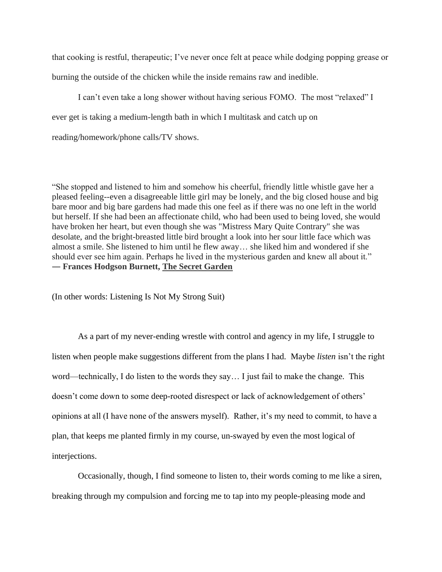that cooking is restful, therapeutic; I've never once felt at peace while dodging popping grease or burning the outside of the chicken while the inside remains raw and inedible.

I can't even take a long shower without having serious FOMO. The most "relaxed" I ever get is taking a medium-length bath in which I multitask and catch up on reading/homework/phone calls/TV shows.

"She stopped and listened to him and somehow his cheerful, friendly little whistle gave her a pleased feeling--even a disagreeable little girl may be lonely, and the big closed house and big bare moor and big bare gardens had made this one feel as if there was no one left in the world but herself. If she had been an affectionate child, who had been used to being loved, she would have broken her heart, but even though she was "Mistress Mary Quite Contrary" she was desolate, and the bright-breasted little bird brought a look into her sour little face which was almost a smile. She listened to him until he flew away… she liked him and wondered if she should ever see him again. Perhaps he lived in the mysterious garden and knew all about it." ― **Frances Hodgson Burnett, [The Secret Garden](https://www.goodreads.com/work/quotes/3186437)**

(In other words: Listening Is Not My Strong Suit)

As a part of my never-ending wrestle with control and agency in my life, I struggle to listen when people make suggestions different from the plans I had. Maybe *listen* isn't the right word—technically, I do listen to the words they say… I just fail to make the change. This doesn't come down to some deep-rooted disrespect or lack of acknowledgement of others' opinions at all (I have none of the answers myself). Rather, it's my need to commit, to have a plan, that keeps me planted firmly in my course, un-swayed by even the most logical of interjections.

Occasionally, though, I find someone to listen to, their words coming to me like a siren, breaking through my compulsion and forcing me to tap into my people-pleasing mode and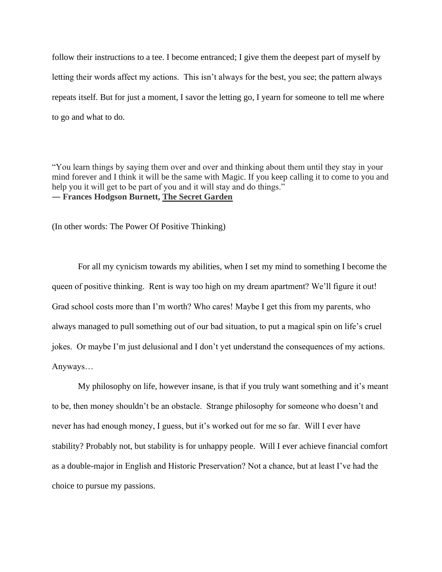follow their instructions to a tee. I become entranced; I give them the deepest part of myself by letting their words affect my actions. This isn't always for the best, you see; the pattern always repeats itself. But for just a moment, I savor the letting go, I yearn for someone to tell me where to go and what to do.

"You learn things by saying them over and over and thinking about them until they stay in your mind forever and I think it will be the same with Magic. If you keep calling it to come to you and help you it will get to be part of you and it will stay and do things." ― **Frances Hodgson Burnett, [The Secret Garden](https://www.goodreads.com/work/quotes/3186437)**

(In other words: The Power Of Positive Thinking)

For all my cynicism towards my abilities, when I set my mind to something I become the queen of positive thinking. Rent is way too high on my dream apartment? We'll figure it out! Grad school costs more than I'm worth? Who cares! Maybe I get this from my parents, who always managed to pull something out of our bad situation, to put a magical spin on life's cruel jokes. Or maybe I'm just delusional and I don't yet understand the consequences of my actions. Anyways…

My philosophy on life, however insane, is that if you truly want something and it's meant to be, then money shouldn't be an obstacle. Strange philosophy for someone who doesn't and never has had enough money, I guess, but it's worked out for me so far. Will I ever have stability? Probably not, but stability is for unhappy people. Will I ever achieve financial comfort as a double-major in English and Historic Preservation? Not a chance, but at least I've had the choice to pursue my passions.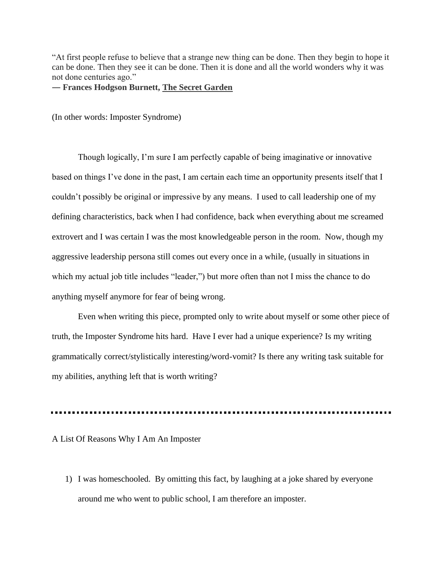"At first people refuse to believe that a strange new thing can be done. Then they begin to hope it can be done. Then they see it can be done. Then it is done and all the world wonders why it was not done centuries ago."

## ― **Frances Hodgson Burnett, [The Secret Garden](https://www.goodreads.com/work/quotes/3186437)**

(In other words: Imposter Syndrome)

Though logically, I'm sure I am perfectly capable of being imaginative or innovative based on things I've done in the past, I am certain each time an opportunity presents itself that I couldn't possibly be original or impressive by any means. I used to call leadership one of my defining characteristics, back when I had confidence, back when everything about me screamed extrovert and I was certain I was the most knowledgeable person in the room. Now, though my aggressive leadership persona still comes out every once in a while, (usually in situations in which my actual job title includes "leader,") but more often than not I miss the chance to do anything myself anymore for fear of being wrong.

Even when writing this piece, prompted only to write about myself or some other piece of truth, the Imposter Syndrome hits hard. Have I ever had a unique experience? Is my writing grammatically correct/stylistically interesting/word-vomit? Is there any writing task suitable for my abilities, anything left that is worth writing?

#### A List Of Reasons Why I Am An Imposter

1) I was homeschooled. By omitting this fact, by laughing at a joke shared by everyone around me who went to public school, I am therefore an imposter.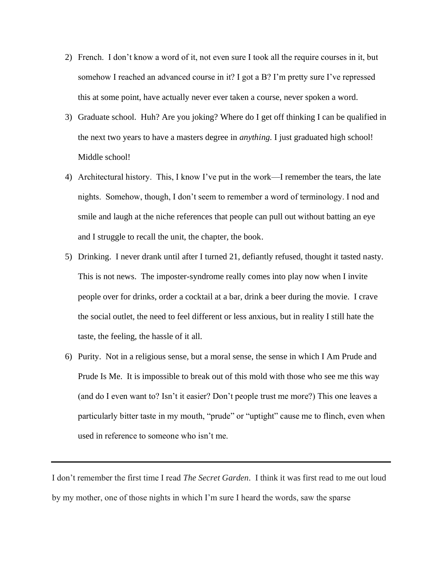- 2) French. I don't know a word of it, not even sure I took all the require courses in it, but somehow I reached an advanced course in it? I got a B? I'm pretty sure I've repressed this at some point, have actually never ever taken a course, never spoken a word.
- 3) Graduate school. Huh? Are you joking? Where do I get off thinking I can be qualified in the next two years to have a masters degree in *anything.* I just graduated high school! Middle school!
- 4) Architectural history. This, I know I've put in the work—I remember the tears, the late nights. Somehow, though, I don't seem to remember a word of terminology. I nod and smile and laugh at the niche references that people can pull out without batting an eye and I struggle to recall the unit, the chapter, the book.
- 5) Drinking. I never drank until after I turned 21, defiantly refused, thought it tasted nasty. This is not news. The imposter-syndrome really comes into play now when I invite people over for drinks, order a cocktail at a bar, drink a beer during the movie. I crave the social outlet, the need to feel different or less anxious, but in reality I still hate the taste, the feeling, the hassle of it all.
- 6) Purity. Not in a religious sense, but a moral sense, the sense in which I Am Prude and Prude Is Me. It is impossible to break out of this mold with those who see me this way (and do I even want to? Isn't it easier? Don't people trust me more?) This one leaves a particularly bitter taste in my mouth, "prude" or "uptight" cause me to flinch, even when used in reference to someone who isn't me.

I don't remember the first time I read *The Secret Garden*. I think it was first read to me out loud by my mother, one of those nights in which I'm sure I heard the words, saw the sparse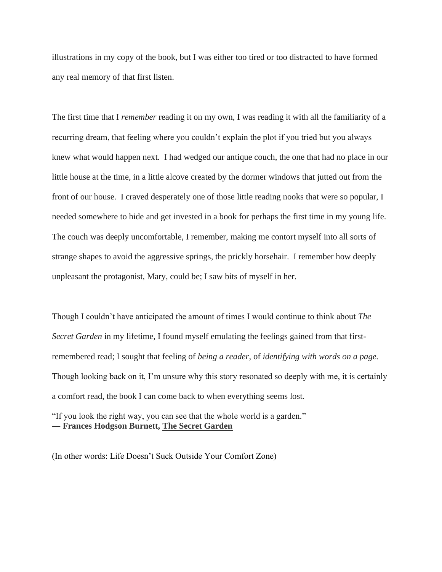illustrations in my copy of the book, but I was either too tired or too distracted to have formed any real memory of that first listen.

The first time that I *remember* reading it on my own, I was reading it with all the familiarity of a recurring dream, that feeling where you couldn't explain the plot if you tried but you always knew what would happen next. I had wedged our antique couch, the one that had no place in our little house at the time, in a little alcove created by the dormer windows that jutted out from the front of our house. I craved desperately one of those little reading nooks that were so popular, I needed somewhere to hide and get invested in a book for perhaps the first time in my young life. The couch was deeply uncomfortable, I remember, making me contort myself into all sorts of strange shapes to avoid the aggressive springs, the prickly horsehair. I remember how deeply unpleasant the protagonist, Mary, could be; I saw bits of myself in her.

Though I couldn't have anticipated the amount of times I would continue to think about *The Secret Garden* in my lifetime, I found myself emulating the feelings gained from that firstremembered read; I sought that feeling of *being a reader*, of *identifying with words on a page.*  Though looking back on it, I'm unsure why this story resonated so deeply with me, it is certainly a comfort read, the book I can come back to when everything seems lost.

"If you look the right way, you can see that the whole world is a garden." ― **Frances Hodgson Burnett, The Secret Garden**

(In other words: Life Doesn't Suck Outside Your Comfort Zone)